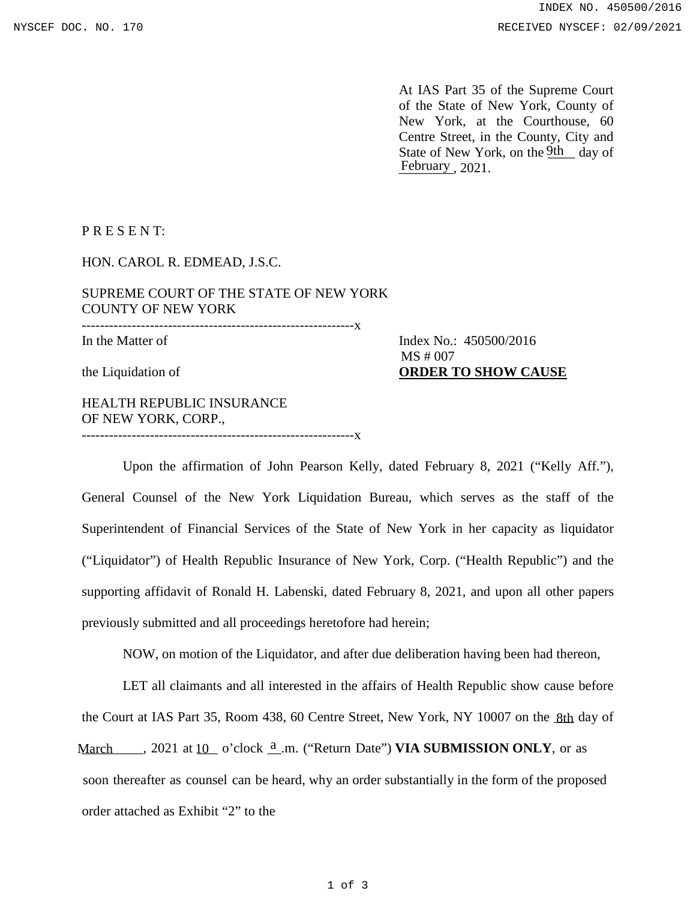At IAS Part 35 of the Supreme Court of the State of New York, County of New York, at the Courthouse, 60 Centre Street, in the County, City and State of New York, on the 9th day of February<sub>, 2021</sub>.

P R E S E N T:

HON. CAROL R. EDMEAD, J.S.C.

SUPREME COURT OF THE STATE OF NEW YORK COUNTY OF NEW YORK ------------------------------------------------------------x

In the Matter of Index No.: 450500/2016 the Liquidation of **ORDER TO SHOW CAUSE** MS # 007

HEALTH REPUBLIC INSURANCE OF NEW YORK, CORP., ------------------------------------------------------------x

Upon the affirmation of John Pearson Kelly, dated February 8, 2021 ("Kelly Aff."), General Counsel of the New York Liquidation Bureau, which serves as the staff of the Superintendent of Financial Services of the State of New York in her capacity as liquidator ("Liquidator") of Health Republic Insurance of New York, Corp. ("Health Republic") and the supporting affidavit of Ronald H. Labenski, dated February 8, 2021, and upon all other papers previously submitted and all proceedings heretofore had herein;

NOW, on motion of the Liquidator, and after due deliberation having been had thereon,

LET all claimants and all interested in the affairs of Health Republic show cause before the Court at IAS Part 35, Room 438, 60 Centre Street, New York, NY 10007 on the 8th day of March 10 at 10 o'clock  $\frac{a}{n}$  m. ("Return Date") **VIA SUBMISSION ONLY**, or as soon thereafter as counsel can be heard, why an order substantially in the form of the proposed order attached as Exhibit "2" to the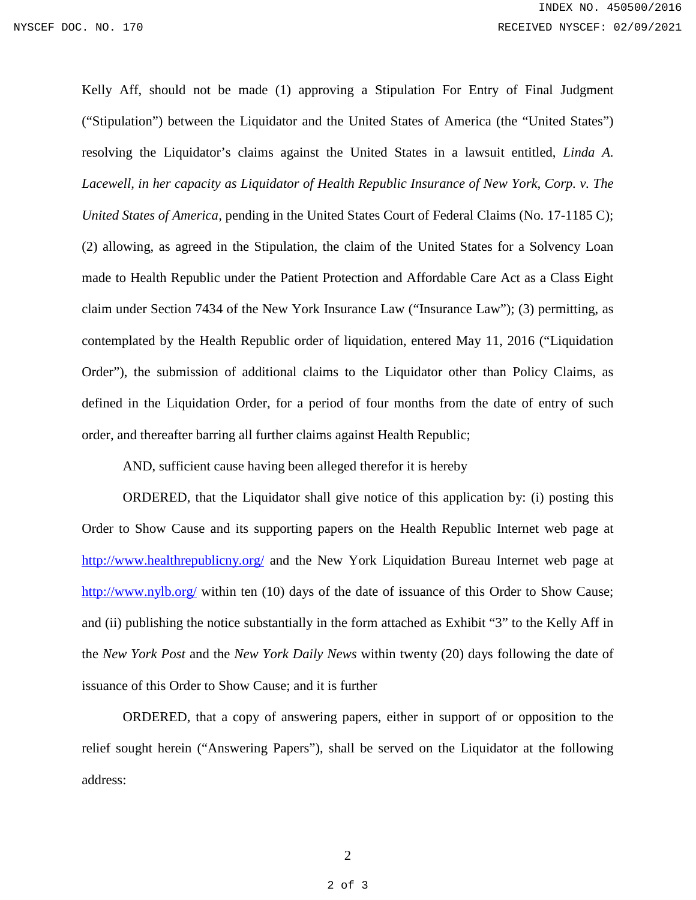Kelly Aff, should not be made (1) approving a Stipulation For Entry of Final Judgment ("Stipulation") between the Liquidator and the United States of America (the "United States") resolving the Liquidator's claims against the United States in a lawsuit entitled, *Linda A. Lacewell, in her capacity as Liquidator of Health Republic Insurance of New York, Corp. v. The United States of America,* pending in the United States Court of Federal Claims (No. 17-1185 C); (2) allowing, as agreed in the Stipulation, the claim of the United States for a Solvency Loan made to Health Republic under the Patient Protection and Affordable Care Act as a Class Eight claim under Section 7434 of the New York Insurance Law ("Insurance Law"); (3) permitting, as contemplated by the Health Republic order of liquidation, entered May 11, 2016 ("Liquidation Order"), the submission of additional claims to the Liquidator other than Policy Claims, as defined in the Liquidation Order, for a period of four months from the date of entry of such order, and thereafter barring all further claims against Health Republic;

AND, sufficient cause having been alleged therefor it is hereby

ORDERED, that the Liquidator shall give notice of this application by: (i) posting this Order to Show Cause and its supporting papers on the Health Republic Internet web page at <http://www.healthrepublicny.org/> and the New York Liquidation Bureau Internet web page at <http://www.nylb.org/> within ten (10) days of the date of issuance of this Order to Show Cause; and (ii) publishing the notice substantially in the form attached as Exhibit "3" to the Kelly Aff in the *New York Post* and the *New York Daily News* within twenty (20) days following the date of issuance of this Order to Show Cause; and it is further

ORDERED, that a copy of answering papers, either in support of or opposition to the relief sought herein ("Answering Papers"), shall be served on the Liquidator at the following address: